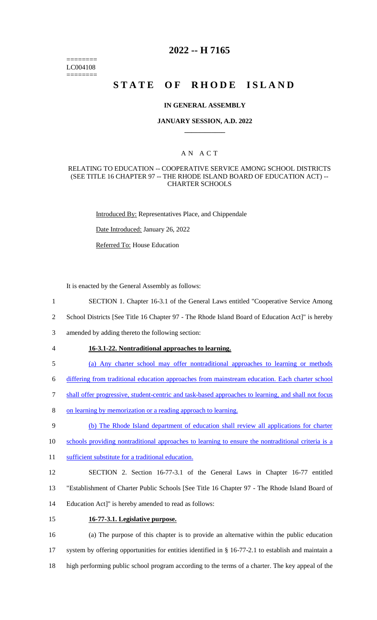======== LC004108 ========

# **2022 -- H 7165**

# **STATE OF RHODE ISLAND**

#### **IN GENERAL ASSEMBLY**

### **JANUARY SESSION, A.D. 2022 \_\_\_\_\_\_\_\_\_\_\_\_**

## A N A C T

#### RELATING TO EDUCATION -- COOPERATIVE SERVICE AMONG SCHOOL DISTRICTS (SEE TITLE 16 CHAPTER 97 -- THE RHODE ISLAND BOARD OF EDUCATION ACT) -- CHARTER SCHOOLS

Introduced By: Representatives Place, and Chippendale

Date Introduced: January 26, 2022

Referred To: House Education

It is enacted by the General Assembly as follows:

- 1 SECTION 1. Chapter 16-3.1 of the General Laws entitled "Cooperative Service Among
- 2 School Districts [See Title 16 Chapter 97 The Rhode Island Board of Education Act]" is hereby
- 3 amended by adding thereto the following section:
- 4 **16-3.1-22. Nontraditional approaches to learning.**
- 5 (a) Any charter school may offer nontraditional approaches to learning or methods
- 6 differing from traditional education approaches from mainstream education. Each charter school
- 7 shall offer progressive, student-centric and task-based approaches to learning, and shall not focus
- 8 on learning by memorization or a reading approach to learning.
- 9 (b) The Rhode Island department of education shall review all applications for charter
- 10 schools providing nontraditional approaches to learning to ensure the nontraditional criteria is a
- 11 sufficient substitute for a traditional education.
- 12 SECTION 2. Section 16-77-3.1 of the General Laws in Chapter 16-77 entitled 13 "Establishment of Charter Public Schools [See Title 16 Chapter 97 - The Rhode Island Board of 14 Education Act]" is hereby amended to read as follows:
- 
- 15 **16-77-3.1. Legislative purpose.**

16 (a) The purpose of this chapter is to provide an alternative within the public education 17 system by offering opportunities for entities identified in § 16-77-2.1 to establish and maintain a 18 high performing public school program according to the terms of a charter. The key appeal of the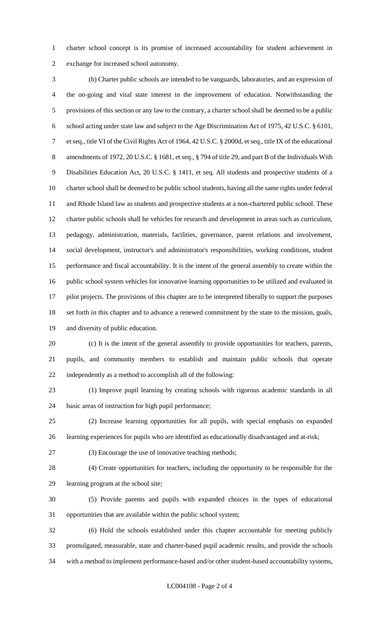charter school concept is its promise of increased accountability for student achievement in exchange for increased school autonomy.

 (b) Charter public schools are intended to be vanguards, laboratories, and an expression of the on-going and vital state interest in the improvement of education. Notwithstanding the provisions of this section or any law to the contrary, a charter school shall be deemed to be a public school acting under state law and subject to the Age Discrimination Act of 1975, 42 U.S.C. § 6101, et seq., title VI of the Civil Rights Act of 1964, 42 U.S.C. § 2000d, et seq., title IX of the educational amendments of 1972, 20 U.S.C. § 1681, et seq., § 794 of title 29, and part B of the Individuals With Disabilities Education Act, 20 U.S.C. § 1411, et seq. All students and prospective students of a charter school shall be deemed to be public school students, having all the same rights under federal and Rhode Island law as students and prospective students at a non-chartered public school. These charter public schools shall be vehicles for research and development in areas such as curriculum, pedagogy, administration, materials, facilities, governance, parent relations and involvement, social development, instructor's and administrator's responsibilities, working conditions, student performance and fiscal accountability. It is the intent of the general assembly to create within the public school system vehicles for innovative learning opportunities to be utilized and evaluated in 17 pilot projects. The provisions of this chapter are to be interpreted liberally to support the purposes set forth in this chapter and to advance a renewed commitment by the state to the mission, goals, and diversity of public education.

 (c) It is the intent of the general assembly to provide opportunities for teachers, parents, pupils, and community members to establish and maintain public schools that operate independently as a method to accomplish all of the following:

 (1) Improve pupil learning by creating schools with rigorous academic standards in all basic areas of instruction for high pupil performance;

 (2) Increase learning opportunities for all pupils, with special emphasis on expanded learning experiences for pupils who are identified as educationally disadvantaged and at-risk;

(3) Encourage the use of innovative teaching methods;

 (4) Create opportunities for teachers, including the opportunity to be responsible for the learning program at the school site;

 (5) Provide parents and pupils with expanded choices in the types of educational opportunities that are available within the public school system;

 (6) Hold the schools established under this chapter accountable for meeting publicly promulgated, measurable, state and charter-based pupil academic results, and provide the schools with a method to implement performance-based and/or other student-based accountability systems,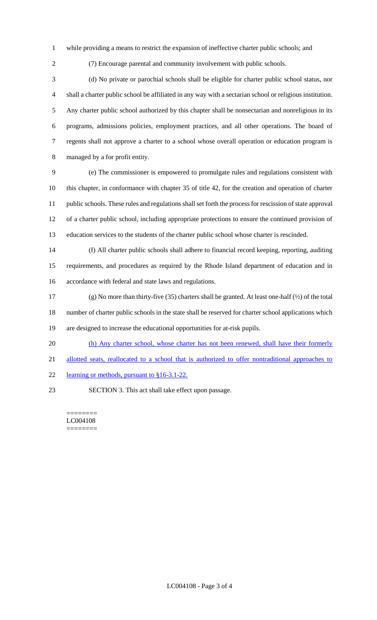- while providing a means to restrict the expansion of ineffective charter public schools; and
- 

(7) Encourage parental and community involvement with public schools.

 (d) No private or parochial schools shall be eligible for charter public school status, nor shall a charter public school be affiliated in any way with a sectarian school or religious institution. Any charter public school authorized by this chapter shall be nonsectarian and nonreligious in its programs, admissions policies, employment practices, and all other operations. The board of regents shall not approve a charter to a school whose overall operation or education program is managed by a for profit entity.

 (e) The commissioner is empowered to promulgate rules and regulations consistent with this chapter, in conformance with chapter 35 of title 42, for the creation and operation of charter public schools. These rules and regulations shall set forth the process for rescission of state approval of a charter public school, including appropriate protections to ensure the continued provision of education services to the students of the charter public school whose charter is rescinded.

 (f) All charter public schools shall adhere to financial record keeping, reporting, auditing requirements, and procedures as required by the Rhode Island department of education and in accordance with federal and state laws and regulations.

 (g) No more than thirty-five (35) charters shall be granted. At least one-half (½) of the total number of charter public schools in the state shall be reserved for charter school applications which are designed to increase the educational opportunities for at-risk pupils.

- 20 (h) Any charter school, whose charter has not been renewed, shall have their formerly
- 21 allotted seats, reallocated to a school that is authorized to offer nontraditional approaches to
- learning or methods, pursuant to §16-3.1-22.
- 

SECTION 3. This act shall take effect upon passage.

======== LC004108 ========